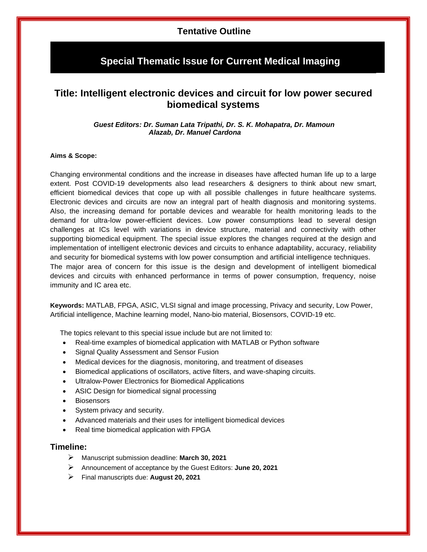### **Tentative Outline**

## **Special Thematic Issue for Current Medical Imaging**

# **Title: Intelligent electronic devices and circuit for low power secured biomedical systems**

#### *Guest Editors: Dr. Suman Lata Tripathi, Dr. S. K. Mohapatra, Dr. Mamoun Alazab, Dr. Manuel Cardona*

#### **Aims & Scope:**

Changing environmental conditions and the increase in diseases have affected human life up to a large extent. Post COVID-19 developments also lead researchers & designers to think about new smart, efficient biomedical devices that cope up with all possible challenges in future healthcare systems. Electronic devices and circuits are now an integral part of health diagnosis and monitoring systems. Also, the increasing demand for portable devices and wearable for health monitoring leads to the demand for ultra-low power-efficient devices. Low power consumptions lead to several design challenges at ICs level with variations in device structure, material and connectivity with other supporting biomedical equipment. The special issue explores the changes required at the design and implementation of intelligent electronic devices and circuits to enhance adaptability, accuracy, reliability and security for biomedical systems with low power consumption and artificial intelligence techniques. The major area of concern for this issue is the design and development of intelligent biomedical devices and circuits with enhanced performance in terms of power consumption, frequency, noise immunity and IC area etc.

**Keywords:** MATLAB, FPGA, ASIC, VLSI signal and image processing, Privacy and security, Low Power, Artificial intelligence, Machine learning model, Nano-bio material, Biosensors, COVID-19 etc.

The topics relevant to this special issue include but are not limited to:

- Real-time examples of biomedical application with MATLAB or Python software
- Signal Quality Assessment and Sensor Fusion
- Medical devices for the diagnosis, monitoring, and treatment of diseases
- Biomedical applications of oscillators, active filters, and wave-shaping circuits.
- Ultralow-Power Electronics for Biomedical Applications
- ASIC Design for biomedical signal processing
- **Biosensors**
- System privacy and security.
- Advanced materials and their uses for intelligent biomedical devices
- Real time biomedical application with FPGA

#### **Timeline:**

- Manuscript submission deadline: **March 30, 2021**
- Announcement of acceptance by the Guest Editors: **June 20, 2021**
- Final manuscripts due: **August 20, 2021**